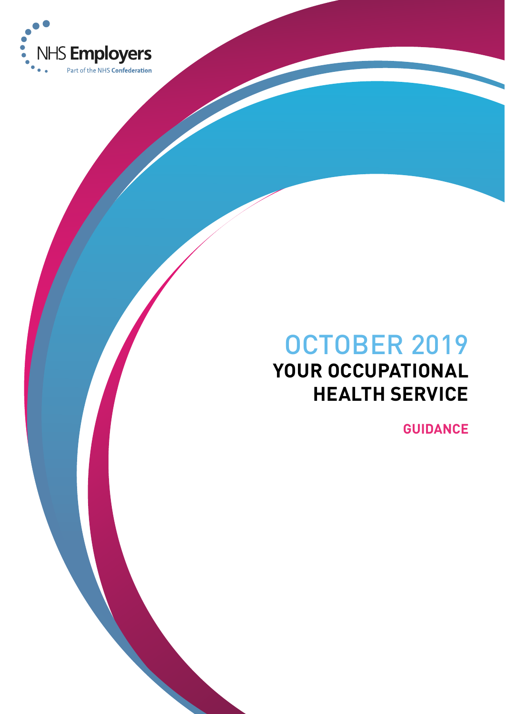

# OCTOBER 2019 **YOUR OCCUPATIONAL HEALTH SERVICE**

**GUIDANCE**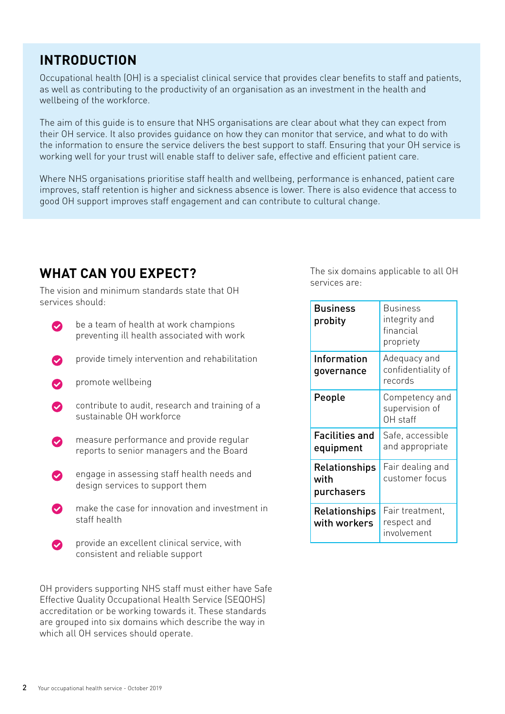### **INTRODUCTION**

Occupational health (OH) is a specialist clinical service that provides clear benefits to staff and patients, as well as contributing to the productivity of an organisation as an investment in the health and wellbeing of the workforce.

The aim of this guide is to ensure that NHS organisations are clear about what they can expect from their OH service. It also provides guidance on how they can monitor that service, and what to do with the information to ensure the service delivers the best support to staff. Ensuring that your OH service is working well for your trust will enable staff to deliver safe, effective and efficient patient care.

Where NHS organisations prioritise staff health and wellbeing, performance is enhanced, patient care improves, staff retention is higher and sickness absence is lower. There is also evidence that access to good OH support improves staff engagement and can contribute to cultural change.

### **WHAT CAN YOU EXPECT?**

The vision and minimum standards state that OH services should:

- be a team of health at work champions preventing ill health associated with work
- provide timely intervention and rehabilitation
- promote wellbeing
- contribute to audit, research and training of a  $\bullet$ sustainable OH workforce
- measure performance and provide regular reports to senior managers and the Board
- engage in assessing staff health needs and design services to support them
- make the case for innovation and investment in staff health
- provide an excellent clinical service, with Ω consistent and reliable support

OH providers supporting NHS staff must either have Safe Effective Quality Occupational Health Service (SEQOHS) accreditation or be working towards it. These standards are grouped into six domains which describe the way in which all OH services should operate.

The six domains applicable to all OH services are:

| <b>Business</b><br>probity                 | <b>Business</b><br>integrity and<br>financial<br>propriety |
|--------------------------------------------|------------------------------------------------------------|
| Information<br>governance                  | Adequacy and<br>confidentiality of<br>records              |
| People                                     | Competency and<br>supervision of<br>OH staff               |
| Facilities and<br>equipment                | Safe, accessible<br>and appropriate                        |
| <b>Relationships</b><br>with<br>purchasers | Fair dealing and<br>customer focus                         |
| Relationships<br>with workers              | Fair treatment,<br>respect and<br>involvement              |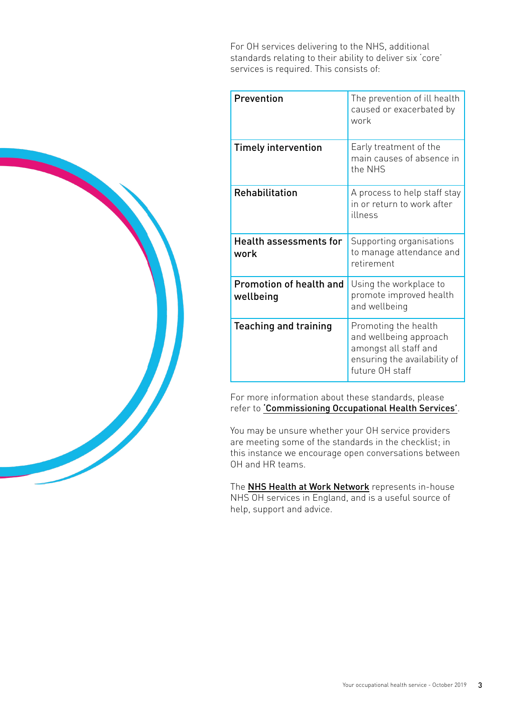For OH services delivering to the NHS, additional standards relating to their ability to deliver six 'core' services is required. This consists of:

| Prevention                            | The prevention of ill health<br>caused or exacerbated by<br>work                                                           |
|---------------------------------------|----------------------------------------------------------------------------------------------------------------------------|
| <b>Timely intervention</b>            | Early treatment of the<br>main causes of absence in<br>the NHS                                                             |
| <b>Rehabilitation</b>                 | A process to help staff stay<br>in or return to work after<br>illness                                                      |
| <b>Health assessments for</b><br>work | Supporting organisations<br>to manage attendance and<br>retirement                                                         |
| Promotion of health and<br>wellbeing  | Using the workplace to<br>promote improved health<br>and wellbeing                                                         |
| <b>Teaching and training</b>          | Promoting the health<br>and wellbeing approach<br>amongst all staff and<br>ensuring the availability of<br>future OH staff |

For more information about these standards, please refer to ['Commissioning Occupational Health Services'](https://www.nhsemployers.org/case-studies-and-resources/2019/10/commissioning-occupational-health-services).

You may be unsure whether your OH service providers are meeting some of the standards in the checklist; in this instance we encourage open conversations between OH and HR teams.

The [NHS Health at Work Network](http://www.nhshealthatwork.co.uk/) represents in-house NHS OH services in England, and is a useful source of help, support and advice.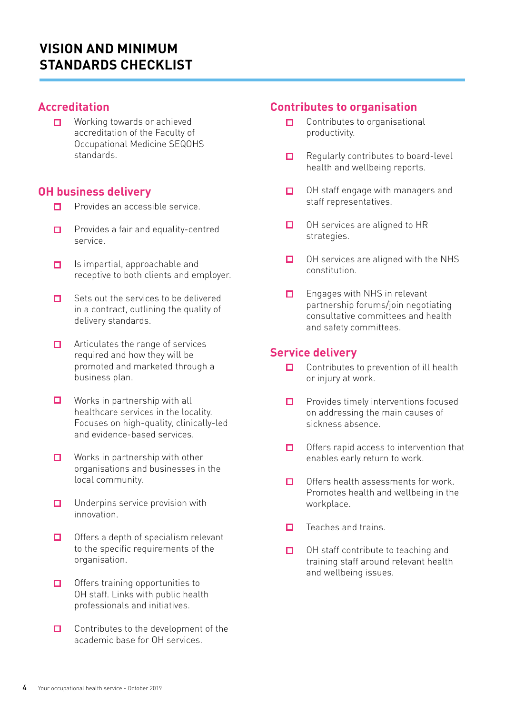### **VISION AND MINIMUM STANDARDS CHECKLIST**

#### **Accreditation**

Working towards or achieved  $\Box$ accreditation of the Faculty of Occupational Medicine SEQOHS standards.

#### **OH business delivery**

- $\Box$ Provides an accessible service.
- Provides a fair and equality-centred  $\Box$ service.
- Is impartial, approachable and  $\Box$ receptive to both clients and employer.
- $\Box$ Sets out the services to be delivered in a contract, outlining the quality of delivery standards.
- Articulates the range of services  $\Box$ required and how they will be promoted and marketed through a business plan.
- $\Box$ Works in partnership with all healthcare services in the locality. Focuses on high-quality, clinically-led and evidence-based services.
- $\Box$ Works in partnership with other organisations and businesses in the local community.
- $\Box$ Underpins service provision with innovation.
- $\Box$ Offers a depth of specialism relevant to the specific requirements of the organisation.
- Offers training opportunities to п. OH staff. Links with public health professionals and initiatives.
- $\Box$ Contributes to the development of the academic base for OH services.

#### **Contributes to organisation**

- Contributes to organisational  $\Box$ productivity.
- Regularly contributes to board-level  $\Box$ health and wellbeing reports.
- OH staff engage with managers and  $\Box$ staff representatives.
- $\Box$ OH services are aligned to HR strategies.
- OH services are aligned with the NHS  $\Box$ constitution.
- Engages with NHS in relevant  $\Box$ partnership forums/join negotiating consultative committees and health and safety committees.

#### **Service delivery**

- $\Box$ Contributes to prevention of ill health or injury at work.
- Provides timely interventions focused  $\Box$ on addressing the main causes of sickness absence.
- Offers rapid access to intervention that  $\Box$ enables early return to work.
- Offers health assessments for work.  $\Box$ Promotes health and wellbeing in the workplace.
- Teaches and trains.  $\Box$
- $\Box$ OH staff contribute to teaching and training staff around relevant health and wellbeing issues.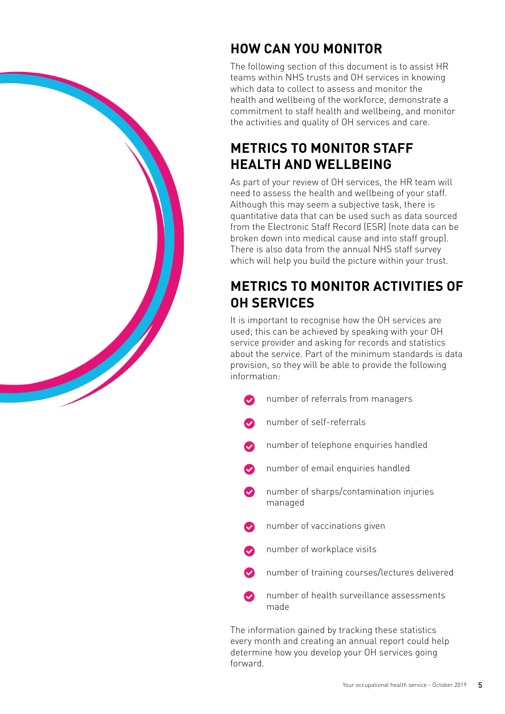

The following section of this document is to assist HR teams within NHS trusts and OH services in knowing which data to collect to assess and monitor the health and wellbeing of the workforce, demonstrate a commitment to staff health and wellbeing, and monitor the activities and quality of OH services and care.

### **METRICS TO MONITOR STAFF HEALTH AND WELLBEING**

As part of your review of OH services, the HR team will need to assess the health and wellbeing of your staff. Although this may seem a subjective task, there is quantitative data that can be used such as data sourced from the Electronic Staff Record (ESR) (note data can be broken down into medical cause and into staff group). There is also data from the annual NHS staff survey which will help you build the picture within your trust.

# **METRICS TO MONITOR ACTIVITIES OF OH SERVICES**

It is important to recognise how the OH services are used; this can be achieved by speaking with your OH service provider and asking for records and statistics about the service. Part of the minimum standards is data provision, so they will be able to provide the following information:

- number of referrals from managers
- number of self-referrals
- number of telephone enquiries handled
- number of email enquiries handled
- $\bullet$ number of sharps/contamination injuries managed
- number of vaccinations given
- number of workplace visits
- number of training courses/lectures delivered
- number of health surveillance assessments made

The information gained by tracking these statistics every month and creating an annual report could help determine how you develop your OH services going forward.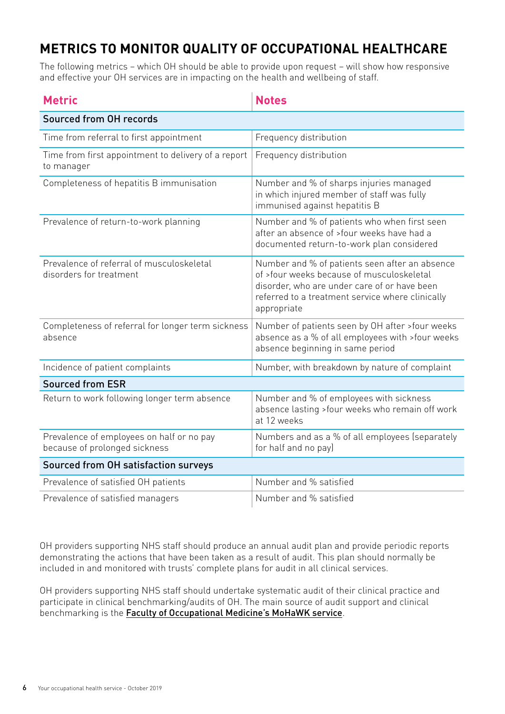# **METRICS TO MONITOR QUALITY OF OCCUPATIONAL HEALTHCARE**

The following metrics – which OH should be able to provide upon request – will show how responsive and effective your OH services are in impacting on the health and wellbeing of staff.

| <b>Metric</b>                                                              | <b>Notes</b>                                                                                                                                                                                                   |  |
|----------------------------------------------------------------------------|----------------------------------------------------------------------------------------------------------------------------------------------------------------------------------------------------------------|--|
| Sourced from OH records                                                    |                                                                                                                                                                                                                |  |
| Time from referral to first appointment                                    | Frequency distribution                                                                                                                                                                                         |  |
| Time from first appointment to delivery of a report<br>to manager          | Frequency distribution                                                                                                                                                                                         |  |
| Completeness of hepatitis B immunisation                                   | Number and % of sharps injuries managed<br>in which injured member of staff was fully<br>immunised against hepatitis B                                                                                         |  |
| Prevalence of return-to-work planning                                      | Number and % of patients who when first seen<br>after an absence of >four weeks have had a<br>documented return-to-work plan considered                                                                        |  |
| Prevalence of referral of musculoskeletal<br>disorders for treatment       | Number and % of patients seen after an absence<br>of >four weeks because of musculoskeletal<br>disorder, who are under care of or have been<br>referred to a treatment service where clinically<br>appropriate |  |
| Completeness of referral for longer term sickness<br>absence               | Number of patients seen by OH after >four weeks<br>absence as a % of all employees with >four weeks<br>absence beginning in same period                                                                        |  |
| Incidence of patient complaints                                            | Number, with breakdown by nature of complaint                                                                                                                                                                  |  |
| <b>Sourced from ESR</b>                                                    |                                                                                                                                                                                                                |  |
| Return to work following longer term absence                               | Number and % of employees with sickness<br>absence lasting >four weeks who remain off work<br>at 12 weeks                                                                                                      |  |
| Prevalence of employees on half or no pay<br>because of prolonged sickness | Numbers and as a % of all employees (separately<br>for half and no pay)                                                                                                                                        |  |
| Sourced from OH satisfaction surveys                                       |                                                                                                                                                                                                                |  |
| Prevalence of satisfied OH patients                                        | Number and % satisfied                                                                                                                                                                                         |  |
| Prevalence of satisfied managers                                           | Number and % satisfied                                                                                                                                                                                         |  |

OH providers supporting NHS staff should produce an annual audit plan and provide periodic reports demonstrating the actions that have been taken as a result of audit. This plan should normally be included in and monitored with trusts' complete plans for audit in all clinical services.

OH providers supporting NHS staff should undertake systematic audit of their clinical practice and participate in clinical benchmarking/audits of OH. The main source of audit support and clinical benchmarking is the **[Faculty of Occupational Medicine's MoHaWK service](https://mohawk.fom.ac.uk/)**.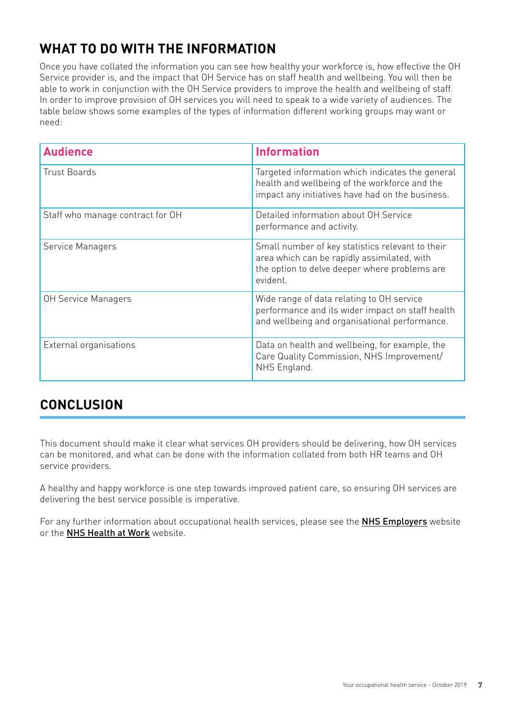# **WHAT TO DO WITH THE INFORMATION**

Once you have collated the information you can see how healthy your workforce is, how effective the OH Service provider is, and the impact that OH Service has on staff health and wellbeing. You will then be able to work in conjunction with the OH Service providers to improve the health and wellbeing of staff. In order to improve provision of OH services you will need to speak to a wide variety of audiences. The table below shows some examples of the types of information different working groups may want or need:

| <b>Audience</b>                  | <b>Information</b>                                                                                                                                           |
|----------------------------------|--------------------------------------------------------------------------------------------------------------------------------------------------------------|
| <b>Trust Boards</b>              | Targeted information which indicates the general<br>health and wellbeing of the workforce and the<br>impact any initiatives have had on the business.        |
| Staff who manage contract for OH | Detailed information about OH Service<br>performance and activity.                                                                                           |
| Service Managers                 | Small number of key statistics relevant to their<br>area which can be rapidly assimilated, with<br>the option to delve deeper where problems are<br>evident. |
| OH Service Managers              | Wide range of data relating to OH service<br>performance and its wider impact on staff health<br>and wellbeing and organisational performance.               |
| External organisations           | Data on health and wellbeing, for example, the<br>Care Quality Commission, NHS Improvement/<br>NHS England.                                                  |

### **CONCLUSION**

This document should make it clear what services OH providers should be delivering, how OH services can be monitored, and what can be done with the information collated from both HR teams and OH service providers.

A healthy and happy workforce is one step towards improved patient care, so ensuring OH services are delivering the best service possible is imperative.

For any further information about occupational health services, please see the **[NHS Employers](https://www.nhsemployers.org/retention-and-staff-experience/health-and-wellbeing/the-way-to-health-and-wellbeing/evidence-base/hee-mental-wellbeing-report-recommendations)** website or the [NHS Health at Work](http://www.nhshealthatwork.co.uk/) website.